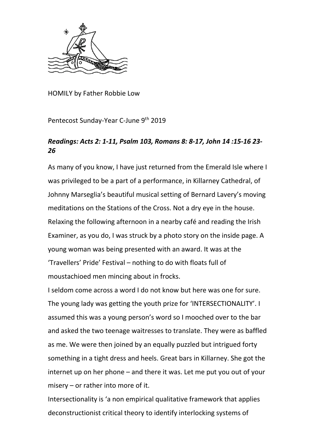

HOMILY by Father Robbie Low

Pentecost Sunday-Year C-June 9th 2019

## *Readings: Acts 2: 1-11, Psalm 103, Romans 8: 8-17, John 14 :15-16 23- 26*

As many of you know, I have just returned from the Emerald Isle where I was privileged to be a part of a performance, in Killarney Cathedral, of Johnny Marseglia's beautiful musical setting of Bernard Lavery's moving meditations on the Stations of the Cross. Not a dry eye in the house. Relaxing the following afternoon in a nearby café and reading the Irish Examiner, as you do, I was struck by a photo story on the inside page. A young woman was being presented with an award. It was at the 'Travellers' Pride' Festival – nothing to do with floats full of moustachioed men mincing about in frocks.

I seldom come across a word I do not know but here was one for sure. The young lady was getting the youth prize for 'INTERSECTIONALITY'. I assumed this was a young person's word so I mooched over to the bar and asked the two teenage waitresses to translate. They were as baffled as me. We were then joined by an equally puzzled but intrigued forty something in a tight dress and heels. Great bars in Killarney. She got the internet up on her phone – and there it was. Let me put you out of your misery – or rather into more of it.

Intersectionality is 'a non empirical qualitative framework that applies deconstructionist critical theory to identify interlocking systems of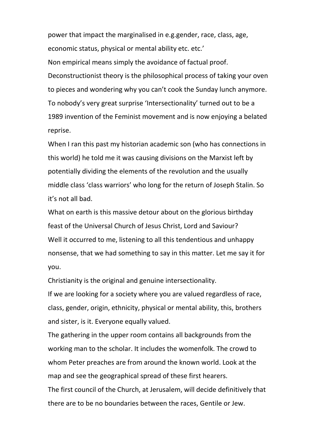power that impact the marginalised in e.g.gender, race, class, age, economic status, physical or mental ability etc. etc.'

Non empirical means simply the avoidance of factual proof. Deconstructionist theory is the philosophical process of taking your oven to pieces and wondering why you can't cook the Sunday lunch anymore. To nobody's very great surprise 'Intersectionality' turned out to be a 1989 invention of the Feminist movement and is now enjoying a belated reprise.

When I ran this past my historian academic son (who has connections in this world) he told me it was causing divisions on the Marxist left by potentially dividing the elements of the revolution and the usually middle class 'class warriors' who long for the return of Joseph Stalin. So it's not all bad.

What on earth is this massive detour about on the glorious birthday feast of the Universal Church of Jesus Christ, Lord and Saviour? Well it occurred to me, listening to all this tendentious and unhappy nonsense, that we had something to say in this matter. Let me say it for you.

Christianity is the original and genuine intersectionality.

If we are looking for a society where you are valued regardless of race, class, gender, origin, ethnicity, physical or mental ability, this, brothers and sister, is it. Everyone equally valued.

The gathering in the upper room contains all backgrounds from the working man to the scholar. It includes the womenfolk. The crowd to whom Peter preaches are from around the known world. Look at the map and see the geographical spread of these first hearers.

The first council of the Church, at Jerusalem, will decide definitively that there are to be no boundaries between the races, Gentile or Jew.